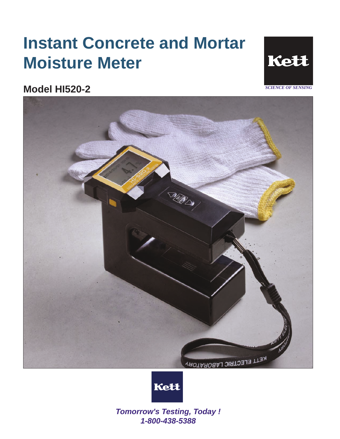# **Instant Concrete and Mortar Moisture Meter**









*Tomorrow's Testing, Today ! 1-800-438-5388*